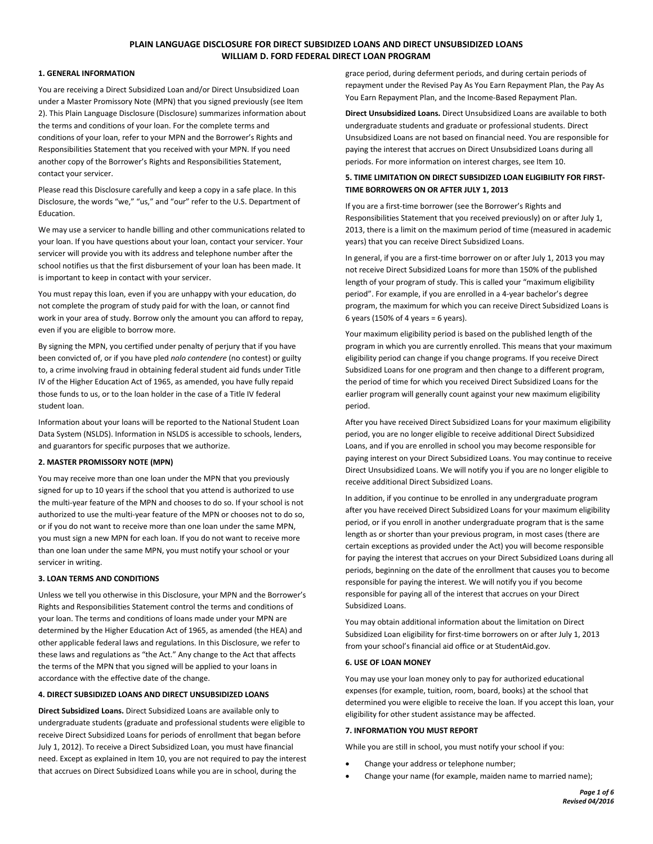#### **1. GENERAL INFORMATION**

You are receiving a Direct Subsidized Loan and/or Direct Unsubsidized Loan under a Master Promissory Note (MPN) that you signed previously (see Item 2). This Plain Language Disclosure (Disclosure) summarizes information about the terms and conditions of your loan. For the complete terms and conditions of your loan, refer to your MPN and the Borrower's Rights and Responsibilities Statement that you received with your MPN. If you need another copy of the Borrower's Rights and Responsibilities Statement, contact your servicer.

Please read this Disclosure carefully and keep a copy in a safe place. In this Disclosure, the words "we," "us," and "our" refer to the U.S. Department of Education.

We may use a servicer to handle billing and other communications related to your loan. If you have questions about your loan, contact your servicer. Your servicer will provide you with its address and telephone number after the school notifies us that the first disbursement of your loan has been made. It is important to keep in contact with your servicer.

You must repay this loan, even if you are unhappy with your education, do not complete the program of study paid for with the loan, or cannot find work in your area of study. Borrow only the amount you can afford to repay, even if you are eligible to borrow more.

By signing the MPN, you certified under penalty of perjury that if you have been convicted of, or if you have pled *nolo contendere* (no contest) or guilty to, a crime involving fraud in obtaining federal student aid funds under Title IV of the Higher Education Act of 1965, as amended, you have fully repaid those funds to us, or to the loan holder in the case of a Title IV federal student loan.

Information about your loans will be reported to the National Student Loan Data System (NSLDS). Information in NSLDS is accessible to schools, lenders, and guarantors for specific purposes that we authorize.

#### **2. MASTER PROMISSORY NOTE (MPN)**

You may receive more than one loan under the MPN that you previously signed for up to 10 years if the school that you attend is authorized to use the multi-year feature of the MPN and chooses to do so. If your school is not authorized to use the multi-year feature of the MPN or chooses not to do so, or if you do not want to receive more than one loan under the same MPN, you must sign a new MPN for each loan. If you do not want to receive more than one loan under the same MPN, you must notify your school or your servicer in writing.

#### **3. LOAN TERMS AND CONDITIONS**

Unless we tell you otherwise in this Disclosure, your MPN and the Borrower's Rights and Responsibilities Statement control the terms and conditions of your loan. The terms and conditions of loans made under your MPN are determined by the Higher Education Act of 1965, as amended (the HEA) and other applicable federal laws and regulations. In this Disclosure, we refer to these laws and regulations as "the Act." Any change to the Act that affects the terms of the MPN that you signed will be applied to your loans in accordance with the effective date of the change.

#### **4. DIRECT SUBSIDIZED LOANS AND DIRECT UNSUBSIDIZED LOANS**

**Direct Subsidized Loans.** Direct Subsidized Loans are available only to undergraduate students (graduate and professional students were eligible to receive Direct Subsidized Loans for periods of enrollment that began before July 1, 2012). To receive a Direct Subsidized Loan, you must have financial need. Except as explained in Item 10, you are not required to pay the interest that accrues on Direct Subsidized Loans while you are in school, during the

grace period, during deferment periods, and during certain periods of repayment under the Revised Pay As You Earn Repayment Plan, the Pay As You Earn Repayment Plan, and the Income-Based Repayment Plan.

**Direct Unsubsidized Loans.** Direct Unsubsidized Loans are available to both undergraduate students and graduate or professional students. Direct Unsubsidized Loans are not based on financial need. You are responsible for paying the interest that accrues on Direct Unsubsidized Loans during all periods. For more information on interest charges, see Item 10.

## **5. TIME LIMITATION ON DIRECT SUBSIDIZED LOAN ELIGIBILITY FOR FIRST-TIME BORROWERS ON OR AFTER JULY 1, 2013**

If you are a first-time borrower (see the Borrower's Rights and Responsibilities Statement that you received previously) on or after July 1, 2013, there is a limit on the maximum period of time (measured in academic years) that you can receive Direct Subsidized Loans.

In general, if you are a first-time borrower on or after July 1, 2013 you may not receive Direct Subsidized Loans for more than 150% of the published length of your program of study. This is called your "maximum eligibility period". For example, if you are enrolled in a 4-year bachelor's degree program, the maximum for which you can receive Direct Subsidized Loans is 6 years (150% of 4 years = 6 years).

Your maximum eligibility period is based on the published length of the program in which you are currently enrolled. This means that your maximum eligibility period can change if you change programs. If you receive Direct Subsidized Loans for one program and then change to a different program, the period of time for which you received Direct Subsidized Loans for the earlier program will generally count against your new maximum eligibility period.

After you have received Direct Subsidized Loans for your maximum eligibility period, you are no longer eligible to receive additional Direct Subsidized Loans, and if you are enrolled in school you may become responsible for paying interest on your Direct Subsidized Loans. You may continue to receive Direct Unsubsidized Loans. We will notify you if you are no longer eligible to receive additional Direct Subsidized Loans.

In addition, if you continue to be enrolled in any undergraduate program after you have received Direct Subsidized Loans for your maximum eligibility period, or if you enroll in another undergraduate program that is the same length as or shorter than your previous program, in most cases (there are certain exceptions as provided under the Act) you will become responsible for paying the interest that accrues on your Direct Subsidized Loans during all periods, beginning on the date of the enrollment that causes you to become responsible for paying the interest. We will notify you if you become responsible for paying all of the interest that accrues on your Direct Subsidized Loans.

You may obtain additional information about the limitation on Direct Subsidized Loan eligibility for first-time borrowers on or after July 1, 2013 from your school's financial aid office or at StudentAid.gov.

## **6. USE OF LOAN MONEY**

You may use your loan money only to pay for authorized educational expenses (for example, tuition, room, board, books) at the school that determined you were eligible to receive the loan. If you accept this loan, your eligibility for other student assistance may be affected.

## **7. INFORMATION YOU MUST REPORT**

While you are still in school, you must notify your school if you:

- Change your address or telephone number;
- Change your name (for example, maiden name to married name);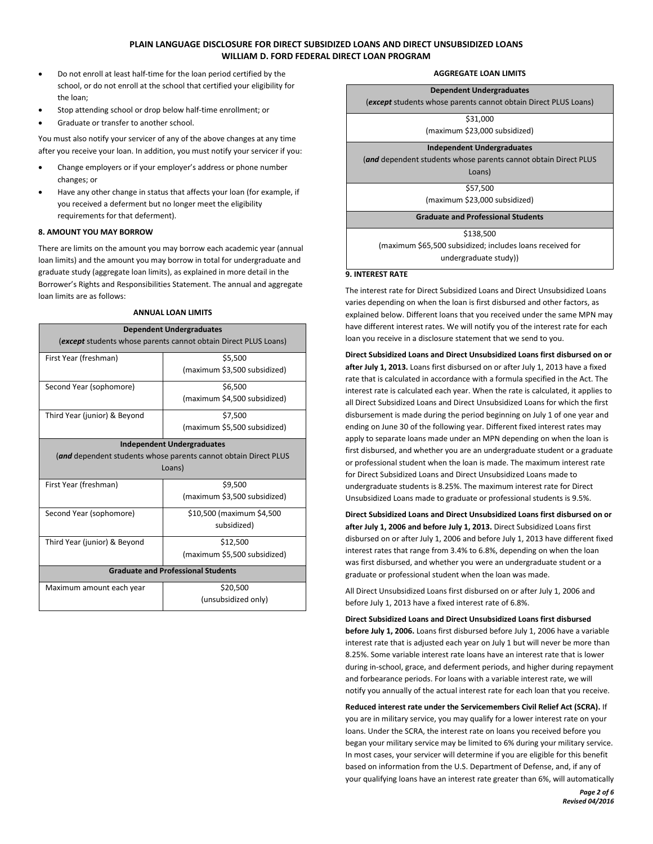- Do not enroll at least half-time for the loan period certified by the school, or do not enroll at the school that certified your eligibility for the loan;
- Stop attending school or drop below half-time enrollment; or
- Graduate or transfer to another school.

You must also notify your servicer of any of the above changes at any time after you receive your loan. In addition, you must notify your servicer if you:

- Change employers or if your employer's address or phone number changes; or
- Have any other change in status that affects your loan (for example, if you received a deferment but no longer meet the eligibility requirements for that deferment).

# **8. AMOUNT YOU MAY BORROW**

There are limits on the amount you may borrow each academic year (annual loan limits) and the amount you may borrow in total for undergraduate and graduate study (aggregate loan limits), as explained in more detail in the Borrower's Rights and Responsibilities Statement. The annual and aggregate loan limits are as follows:

#### **ANNUAL LOAN LIMITS**

| <b>Dependent Undergraduates</b>                                 |                              |
|-----------------------------------------------------------------|------------------------------|
| (except students whose parents cannot obtain Direct PLUS Loans) |                              |
| First Year (freshman)                                           | \$5,500                      |
|                                                                 | (maximum \$3,500 subsidized) |
| Second Year (sophomore)                                         | \$6.500                      |
|                                                                 | (maximum \$4,500 subsidized) |
| Third Year (junior) & Beyond                                    | \$7.500                      |
|                                                                 | (maximum \$5,500 subsidized) |
| <b>Independent Undergraduates</b>                               |                              |
| (and dependent students whose parents cannot obtain Direct PLUS |                              |
| Loans)                                                          |                              |
| First Year (freshman)                                           | \$9,500                      |
|                                                                 | (maximum \$3,500 subsidized) |
| Second Year (sophomore)                                         | \$10,500 (maximum \$4,500    |
|                                                                 | subsidized)                  |
| Third Year (junior) & Beyond                                    | \$12,500                     |
|                                                                 | (maximum \$5,500 subsidized) |
| <b>Graduate and Professional Students</b>                       |                              |
| Maximum amount each year                                        | \$20,500                     |
|                                                                 | (unsubsidized only)          |

#### **AGGREGATE LOAN LIMITS**

**Dependent Undergraduates** (*except* students whose parents cannot obtain Direct PLUS Loans)

\$31,000

# (maximum \$23,000 subsidized)

**Independent Undergraduates** (*and* dependent students whose parents cannot obtain Direct PLUS

> Loans) \$57,500

(maximum \$23,000 subsidized)

**Graduate and Professional Students**

\$138,500

(maximum \$65,500 subsidized; includes loans received for undergraduate study))

# **9. INTEREST RATE**

The interest rate for Direct Subsidized Loans and Direct Unsubsidized Loans varies depending on when the loan is first disbursed and other factors, as explained below. Different loans that you received under the same MPN may have different interest rates. We will notify you of the interest rate for each loan you receive in a disclosure statement that we send to you.

# **Direct Subsidized Loans and Direct Unsubsidized Loans first disbursed on or after July 1, 2013.** Loans first disbursed on or after July 1, 2013 have a fixed rate that is calculated in accordance with a formula specified in the Act. The interest rate is calculated each year. When the rate is calculated, it applies to all Direct Subsidized Loans and Direct Unsubsidized Loans for which the first disbursement is made during the period beginning on July 1 of one year and ending on June 30 of the following year. Different fixed interest rates may apply to separate loans made under an MPN depending on when the loan is

first disbursed, and whether you are an undergraduate student or a graduate or professional student when the loan is made. The maximum interest rate for Direct Subsidized Loans and Direct Unsubsidized Loans made to undergraduate students is 8.25%. The maximum interest rate for Direct Unsubsidized Loans made to graduate or professional students is 9.5%.

**Direct Subsidized Loans and Direct Unsubsidized Loans first disbursed on or after July 1, 2006 and before July 1, 2013.** Direct Subsidized Loans first disbursed on or after July 1, 2006 and before July 1, 2013 have different fixed interest rates that range from 3.4% to 6.8%, depending on when the loan was first disbursed, and whether you were an undergraduate student or a graduate or professional student when the loan was made.

All Direct Unsubsidized Loans first disbursed on or after July 1, 2006 and before July 1, 2013 have a fixed interest rate of 6.8%.

**Direct Subsidized Loans and Direct Unsubsidized Loans first disbursed before July 1, 2006.** Loans first disbursed before July 1, 2006 have a variable interest rate that is adjusted each year on July 1 but will never be more than 8.25%. Some variable interest rate loans have an interest rate that is lower during in-school, grace, and deferment periods, and higher during repayment and forbearance periods. For loans with a variable interest rate, we will notify you annually of the actual interest rate for each loan that you receive.

**Reduced interest rate under the Servicemembers Civil Relief Act (SCRA).** If you are in military service, you may qualify for a lower interest rate on your loans. Under the SCRA, the interest rate on loans you received before you began your military service may be limited to 6% during your military service. In most cases, your servicer will determine if you are eligible for this benefit based on information from the U.S. Department of Defense, and, if any of your qualifying loans have an interest rate greater than 6%, will automatically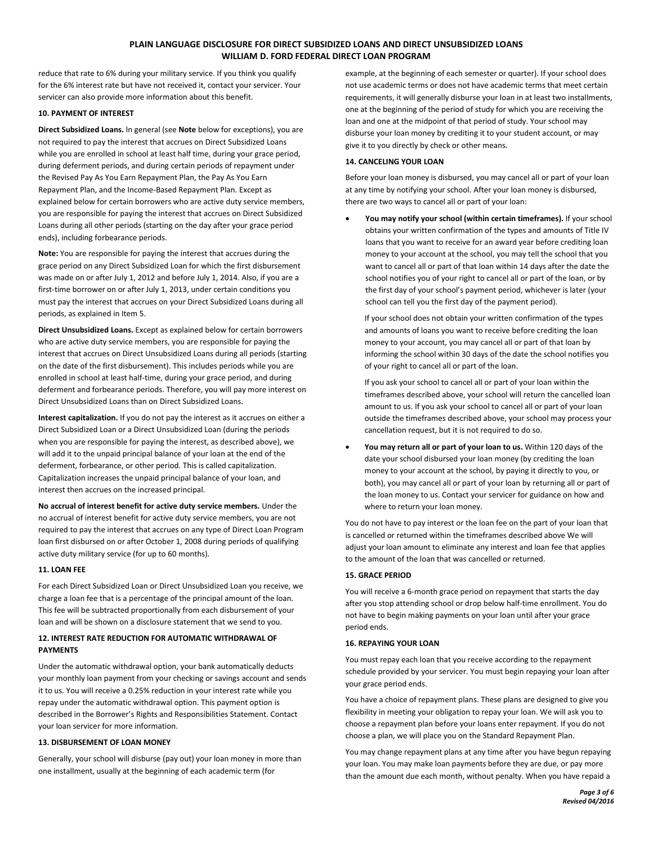reduce that rate to 6% during your military service. If you think you qualify for the 6% interest rate but have not received it, contact your servicer. Your servicer can also provide more information about this benefit.

## **10. PAYMENT OF INTEREST**

**Direct Subsidized Loans.** In general (see **Note** below for exceptions), you are not required to pay the interest that accrues on Direct Subsidized Loans while you are enrolled in school at least half time, during your grace period, during deferment periods, and during certain periods of repayment under the Revised Pay As You Earn Repayment Plan, the Pay As You Earn Repayment Plan, and the Income-Based Repayment Plan. Except as explained below for certain borrowers who are active duty service members, you are responsible for paying the interest that accrues on Direct Subsidized Loans during all other periods (starting on the day after your grace period ends), including forbearance periods.

**Note:** You are responsible for paying the interest that accrues during the grace period on any Direct Subsidized Loan for which the first disbursement was made on or after July 1, 2012 and before July 1, 2014. Also, if you are a first-time borrower on or after July 1, 2013, under certain conditions you must pay the interest that accrues on your Direct Subsidized Loans during all periods, as explained in Item 5.

**Direct Unsubsidized Loans.** Except as explained below for certain borrowers who are active duty service members, you are responsible for paying the interest that accrues on Direct Unsubsidized Loans during all periods (starting on the date of the first disbursement). This includes periods while you are enrolled in school at least half-time, during your grace period, and during deferment and forbearance periods. Therefore, you will pay more interest on Direct Unsubsidized Loans than on Direct Subsidized Loans.

**Interest capitalization.** If you do not pay the interest as it accrues on either a Direct Subsidized Loan or a Direct Unsubsidized Loan (during the periods when you are responsible for paying the interest, as described above), we will add it to the unpaid principal balance of your loan at the end of the deferment, forbearance, or other period. This is called capitalization. Capitalization increases the unpaid principal balance of your loan, and interest then accrues on the increased principal.

**No accrual of interest benefit for active duty service members.** Under the no accrual of interest benefit for active duty service members, you are not required to pay the interest that accrues on any type of Direct Loan Program loan first disbursed on or after October 1, 2008 during periods of qualifying active duty military service (for up to 60 months).

#### **11. LOAN FEE**

For each Direct Subsidized Loan or Direct Unsubsidized Loan you receive, we charge a loan fee that is a percentage of the principal amount of the loan. This fee will be subtracted proportionally from each disbursement of your loan and will be shown on a disclosure statement that we send to you.

# **12. INTEREST RATE REDUCTION FOR AUTOMATIC WITHDRAWAL OF PAYMENTS**

Under the automatic withdrawal option, your bank automatically deducts your monthly loan payment from your checking or savings account and sends it to us. You will receive a 0.25% reduction in your interest rate while you repay under the automatic withdrawal option. This payment option is described in the Borrower's Rights and Responsibilities Statement. Contact your loan servicer for more information.

## **13. DISBURSEMENT OF LOAN MONEY**

Generally, your school will disburse (pay out) your loan money in more than one installment, usually at the beginning of each academic term (for

example, at the beginning of each semester or quarter). If your school does not use academic terms or does not have academic terms that meet certain requirements, it will generally disburse your loan in at least two installments, one at the beginning of the period of study for which you are receiving the loan and one at the midpoint of that period of study. Your school may disburse your loan money by crediting it to your student account, or may give it to you directly by check or other means.

#### **14. CANCELING YOUR LOAN**

Before your loan money is disbursed, you may cancel all or part of your loan at any time by notifying your school. After your loan money is disbursed, there are two ways to cancel all or part of your loan:

• **You may notify your school (within certain timeframes).** If your school obtains your written confirmation of the types and amounts of Title IV loans that you want to receive for an award year before crediting loan money to your account at the school, you may tell the school that you want to cancel all or part of that loan within 14 days after the date the school notifies you of your right to cancel all or part of the loan, or by the first day of your school's payment period, whichever is later (your school can tell you the first day of the payment period).

If your school does not obtain your written confirmation of the types and amounts of loans you want to receive before crediting the loan money to your account, you may cancel all or part of that loan by informing the school within 30 days of the date the school notifies you of your right to cancel all or part of the loan.

If you ask your school to cancel all or part of your loan within the timeframes described above, your school will return the cancelled loan amount to us. If you ask your school to cancel all or part of your loan outside the timeframes described above, your school may process your cancellation request, but it is not required to do so.

• **You may return all or part of your loan to us.** Within 120 days of the date your school disbursed your loan money (by crediting the loan money to your account at the school, by paying it directly to you, or both), you may cancel all or part of your loan by returning all or part of the loan money to us. Contact your servicer for guidance on how and where to return your loan money.

You do not have to pay interest or the loan fee on the part of your loan that is cancelled or returned within the timeframes described above We will adjust your loan amount to eliminate any interest and loan fee that applies to the amount of the loan that was cancelled or returned.

## **15. GRACE PERIOD**

You will receive a 6-month grace period on repayment that starts the day after you stop attending school or drop below half-time enrollment. You do not have to begin making payments on your loan until after your grace period ends.

#### **16. REPAYING YOUR LOAN**

You must repay each loan that you receive according to the repayment schedule provided by your servicer. You must begin repaying your loan after your grace period ends.

You have a choice of repayment plans. These plans are designed to give you flexibility in meeting your obligation to repay your loan. We will ask you to choose a repayment plan before your loans enter repayment. If you do not choose a plan, we will place you on the Standard Repayment Plan.

You may change repayment plans at any time after you have begun repaying your loan. You may make loan payments before they are due, or pay more than the amount due each month, without penalty. When you have repaid a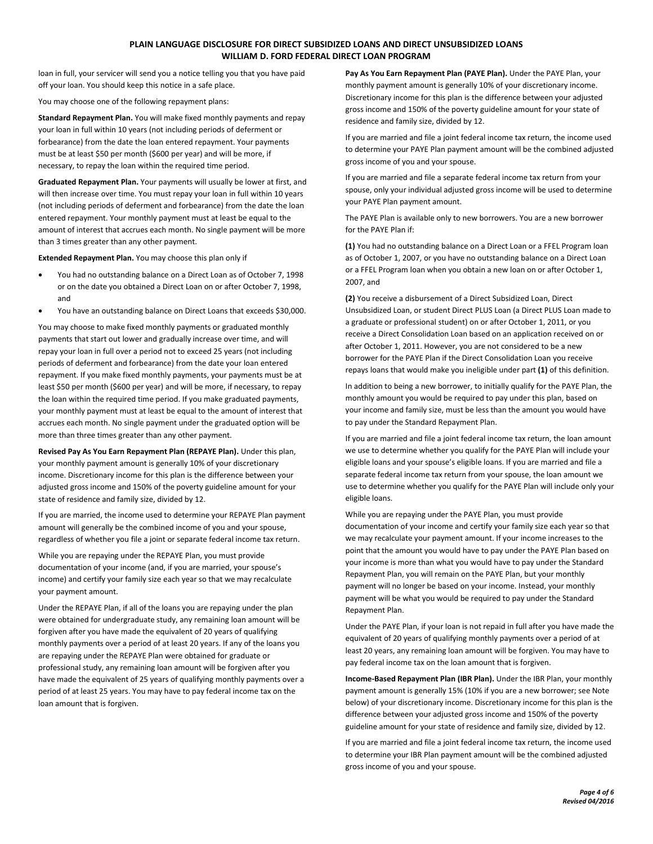loan in full, your servicer will send you a notice telling you that you have paid off your loan. You should keep this notice in a safe place.

You may choose one of the following repayment plans:

**Standard Repayment Plan.** You will make fixed monthly payments and repay your loan in full within 10 years (not including periods of deferment or forbearance) from the date the loan entered repayment. Your payments must be at least \$50 per month (\$600 per year) and will be more, if necessary, to repay the loan within the required time period.

**Graduated Repayment Plan.** Your payments will usually be lower at first, and will then increase over time. You must repay your loan in full within 10 years (not including periods of deferment and forbearance) from the date the loan entered repayment. Your monthly payment must at least be equal to the amount of interest that accrues each month. No single payment will be more than 3 times greater than any other payment.

**Extended Repayment Plan.** You may choose this plan only if

- You had no outstanding balance on a Direct Loan as of October 7, 1998 or on the date you obtained a Direct Loan on or after October 7, 1998, and
- You have an outstanding balance on Direct Loans that exceeds \$30,000.

You may choose to make fixed monthly payments or graduated monthly payments that start out lower and gradually increase over time, and will repay your loan in full over a period not to exceed 25 years (not including periods of deferment and forbearance) from the date your loan entered repayment. If you make fixed monthly payments, your payments must be at least \$50 per month (\$600 per year) and will be more, if necessary, to repay the loan within the required time period. If you make graduated payments, your monthly payment must at least be equal to the amount of interest that accrues each month. No single payment under the graduated option will be more than three times greater than any other payment.

**Revised Pay As You Earn Repayment Plan (REPAYE Plan).** Under this plan, your monthly payment amount is generally 10% of your discretionary income. Discretionary income for this plan is the difference between your adjusted gross income and 150% of the poverty guideline amount for your state of residence and family size, divided by 12.

If you are married, the income used to determine your REPAYE Plan payment amount will generally be the combined income of you and your spouse, regardless of whether you file a joint or separate federal income tax return.

While you are repaying under the REPAYE Plan, you must provide documentation of your income (and, if you are married, your spouse's income) and certify your family size each year so that we may recalculate your payment amount.

Under the REPAYE Plan, if all of the loans you are repaying under the plan were obtained for undergraduate study, any remaining loan amount will be forgiven after you have made the equivalent of 20 years of qualifying monthly payments over a period of at least 20 years. If any of the loans you are repaying under the REPAYE Plan were obtained for graduate or professional study, any remaining loan amount will be forgiven after you have made the equivalent of 25 years of qualifying monthly payments over a period of at least 25 years. You may have to pay federal income tax on the loan amount that is forgiven.

**Pay As You Earn Repayment Plan (PAYE Plan).** Under the PAYE Plan, your monthly payment amount is generally 10% of your discretionary income. Discretionary income for this plan is the difference between your adjusted gross income and 150% of the poverty guideline amount for your state of residence and family size, divided by 12.

If you are married and file a joint federal income tax return, the income used to determine your PAYE Plan payment amount will be the combined adjusted gross income of you and your spouse.

If you are married and file a separate federal income tax return from your spouse, only your individual adjusted gross income will be used to determine your PAYE Plan payment amount.

The PAYE Plan is available only to new borrowers. You are a new borrower for the PAYE Plan if:

**(1)** You had no outstanding balance on a Direct Loan or a FFEL Program loan as of October 1, 2007, or you have no outstanding balance on a Direct Loan or a FFEL Program loan when you obtain a new loan on or after October 1, 2007, and

**(2)** You receive a disbursement of a Direct Subsidized Loan, Direct Unsubsidized Loan, or student Direct PLUS Loan (a Direct PLUS Loan made to a graduate or professional student) on or after October 1, 2011, or you receive a Direct Consolidation Loan based on an application received on or after October 1, 2011. However, you are not considered to be a new borrower for the PAYE Plan if the Direct Consolidation Loan you receive repays loans that would make you ineligible under part **(1)** of this definition.

In addition to being a new borrower, to initially qualify for the PAYE Plan, the monthly amount you would be required to pay under this plan, based on your income and family size, must be less than the amount you would have to pay under the Standard Repayment Plan.

If you are married and file a joint federal income tax return, the loan amount we use to determine whether you qualify for the PAYE Plan will include your eligible loans and your spouse's eligible loans. If you are married and file a separate federal income tax return from your spouse, the loan amount we use to determine whether you qualify for the PAYE Plan will include only your eligible loans.

While you are repaying under the PAYE Plan, you must provide documentation of your income and certify your family size each year so that we may recalculate your payment amount. If your income increases to the point that the amount you would have to pay under the PAYE Plan based on your income is more than what you would have to pay under the Standard Repayment Plan, you will remain on the PAYE Plan, but your monthly payment will no longer be based on your income. Instead, your monthly payment will be what you would be required to pay under the Standard Repayment Plan.

Under the PAYE Plan, if your loan is not repaid in full after you have made the equivalent of 20 years of qualifying monthly payments over a period of at least 20 years, any remaining loan amount will be forgiven. You may have to pay federal income tax on the loan amount that is forgiven.

**Income-Based Repayment Plan (IBR Plan).** Under the IBR Plan, your monthly payment amount is generally 15% (10% if you are a new borrower; see Note below) of your discretionary income. Discretionary income for this plan is the difference between your adjusted gross income and 150% of the poverty guideline amount for your state of residence and family size, divided by 12.

If you are married and file a joint federal income tax return, the income used to determine your IBR Plan payment amount will be the combined adjusted gross income of you and your spouse.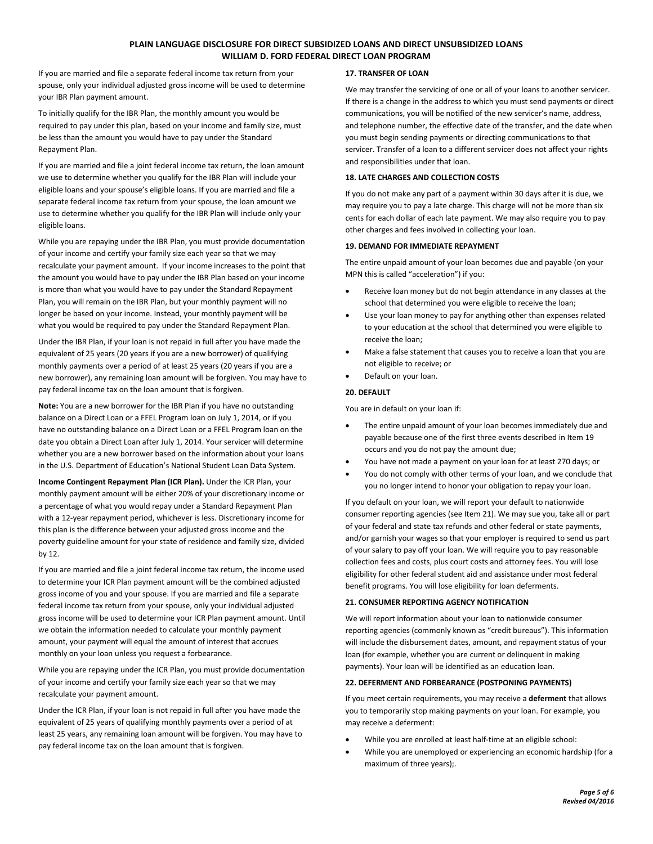If you are married and file a separate federal income tax return from your spouse, only your individual adjusted gross income will be used to determine your IBR Plan payment amount.

To initially qualify for the IBR Plan, the monthly amount you would be required to pay under this plan, based on your income and family size, must be less than the amount you would have to pay under the Standard Repayment Plan.

If you are married and file a joint federal income tax return, the loan amount we use to determine whether you qualify for the IBR Plan will include your eligible loans and your spouse's eligible loans. If you are married and file a separate federal income tax return from your spouse, the loan amount we use to determine whether you qualify for the IBR Plan will include only your eligible loans.

While you are repaying under the IBR Plan, you must provide documentation of your income and certify your family size each year so that we may recalculate your payment amount. If your income increases to the point that the amount you would have to pay under the IBR Plan based on your income is more than what you would have to pay under the Standard Repayment Plan, you will remain on the IBR Plan, but your monthly payment will no longer be based on your income. Instead, your monthly payment will be what you would be required to pay under the Standard Repayment Plan.

Under the IBR Plan, if your loan is not repaid in full after you have made the equivalent of 25 years (20 years if you are a new borrower) of qualifying monthly payments over a period of at least 25 years (20 years if you are a new borrower), any remaining loan amount will be forgiven. You may have to pay federal income tax on the loan amount that is forgiven.

**Note:** You are a new borrower for the IBR Plan if you have no outstanding balance on a Direct Loan or a FFEL Program loan on July 1, 2014, or if you have no outstanding balance on a Direct Loan or a FFEL Program loan on the date you obtain a Direct Loan after July 1, 2014. Your servicer will determine whether you are a new borrower based on the information about your loans in the U.S. Department of Education's National Student Loan Data System.

**Income Contingent Repayment Plan (ICR Plan).** Under the ICR Plan, your monthly payment amount will be either 20% of your discretionary income or a percentage of what you would repay under a Standard Repayment Plan with a 12-year repayment period, whichever is less. Discretionary income for this plan is the difference between your adjusted gross income and the poverty guideline amount for your state of residence and family size, divided by 12.

If you are married and file a joint federal income tax return, the income used to determine your ICR Plan payment amount will be the combined adjusted gross income of you and your spouse. If you are married and file a separate federal income tax return from your spouse, only your individual adjusted gross income will be used to determine your ICR Plan payment amount. Until we obtain the information needed to calculate your monthly payment amount, your payment will equal the amount of interest that accrues monthly on your loan unless you request a forbearance.

While you are repaying under the ICR Plan, you must provide documentation of your income and certify your family size each year so that we may recalculate your payment amount.

Under the ICR Plan, if your loan is not repaid in full after you have made the equivalent of 25 years of qualifying monthly payments over a period of at least 25 years, any remaining loan amount will be forgiven. You may have to pay federal income tax on the loan amount that is forgiven.

# **17. TRANSFER OF LOAN**

We may transfer the servicing of one or all of your loans to another servicer. If there is a change in the address to which you must send payments or direct communications, you will be notified of the new servicer's name, address, and telephone number, the effective date of the transfer, and the date when you must begin sending payments or directing communications to that servicer. Transfer of a loan to a different servicer does not affect your rights and responsibilities under that loan.

# **18. LATE CHARGES AND COLLECTION COSTS**

If you do not make any part of a payment within 30 days after it is due, we may require you to pay a late charge. This charge will not be more than six cents for each dollar of each late payment. We may also require you to pay other charges and fees involved in collecting your loan.

# **19. DEMAND FOR IMMEDIATE REPAYMENT**

The entire unpaid amount of your loan becomes due and payable (on your MPN this is called "acceleration") if you:

- Receive loan money but do not begin attendance in any classes at the school that determined you were eligible to receive the loan;
- Use your loan money to pay for anything other than expenses related to your education at the school that determined you were eligible to receive the loan;
- Make a false statement that causes you to receive a loan that you are not eligible to receive; or
- Default on your loan.

## **20. DEFAULT**

You are in default on your loan if:

- The entire unpaid amount of your loan becomes immediately due and payable because one of the first three events described in Item 19 occurs and you do not pay the amount due;
- You have not made a payment on your loan for at least 270 days; or
- You do not comply with other terms of your loan, and we conclude that you no longer intend to honor your obligation to repay your loan.

If you default on your loan, we will report your default to nationwide consumer reporting agencies (see Item 21). We may sue you, take all or part of your federal and state tax refunds and other federal or state payments, and/or garnish your wages so that your employer is required to send us part of your salary to pay off your loan. We will require you to pay reasonable collection fees and costs, plus court costs and attorney fees. You will lose eligibility for other federal student aid and assistance under most federal benefit programs. You will lose eligibility for loan deferments.

## **21. CONSUMER REPORTING AGENCY NOTIFICATION**

We will report information about your loan to nationwide consumer reporting agencies (commonly known as "credit bureaus"). This information will include the disbursement dates, amount, and repayment status of your loan (for example, whether you are current or delinquent in making payments). Your loan will be identified as an education loan.

#### **22. DEFERMENT AND FORBEARANCE (POSTPONING PAYMENTS)**

If you meet certain requirements, you may receive a **deferment** that allows you to temporarily stop making payments on your loan. For example, you may receive a deferment:

- While you are enrolled at least half-time at an eligible school:
- While you are unemployed or experiencing an economic hardship (for a maximum of three years);.